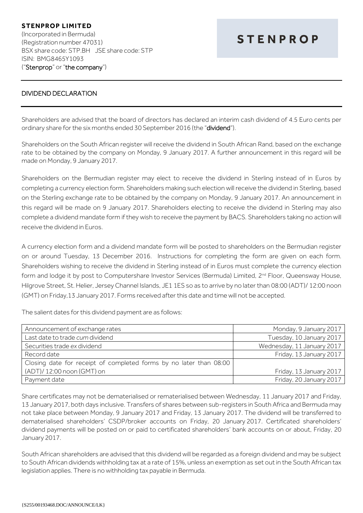## DIVIDEND DECLARATION

Shareholders are advised that the board of directors has declared an interim cash dividend of 4.5 Euro cents per ordinary share for the six months ended 30 September 2016 (the "dividend").

Shareholders on the South African register will receive the dividend in South African Rand, based on the exchange rate to be obtained by the company on Monday, 9 January 2017. A further announcement in this regard will be made on Monday, 9 January 2017.

Shareholders on the Bermudian register may elect to receive the dividend in Sterling instead of in Euros by completing a currency election form. Shareholders making such election will receive the dividend in Sterling, based on the Sterling exchange rate to be obtained by the company on Monday, 9 January 2017. An announcement in this regard will be made on 9 January 2017. Shareholders electing to receive the dividend in Sterling may also complete a dividend mandate form if they wish to receive the payment by BACS. Shareholders taking no action will receive the dividend in Euros.

A currency election form and a dividend mandate form will be posted to shareholders on the Bermudian register on or around Tuesday, 13 December 2016. Instructions for completing the form are given on each form. Shareholders wishing to receive the dividend in Sterling instead of in Euros must complete the currency election form and lodge it by post to Computershare Investor Services (Bermuda) Limited, 2<sup>nd</sup> Floor, Queensway House, Hilgrove Street, St. Helier, Jersey Channel Islands, JE1 1ES so as to arrive by no later than 08:00 (ADT)/ 12:00 noon (GMT) on Friday,13 January 2017. Forms received after this date and time will not be accepted.

The salient dates for this dividend payment are as follows:

| Announcement of exchange rates                                     | Monday, 9 January 2017     |
|--------------------------------------------------------------------|----------------------------|
| Last date to trade cum dividend                                    | Tuesday, 10 January 2017   |
| Securities trade ex dividend                                       | Wednesday, 11 January 2017 |
| Record date                                                        | Friday, 13 January 2017    |
| Closing date for receipt of completed forms by no later than 08:00 |                            |
| (ADT)/ 12:00 noon (GMT) on                                         | Friday, 13 January 2017    |
| Payment date                                                       | Friday, 20 January 2017    |

Share certificates may not be dematerialised or rematerialised between Wednesday, 11 January 2017 and Friday, 13 January 2017, both days inclusive. Transfers of shares between sub-registers in South Africa and Bermuda may not take place between Monday, 9 January 2017 and Friday, 13 January 2017. The dividend will be transferred to dematerialised shareholders' CSDP/broker accounts on Friday, 20 January 2017. Certificated shareholders' dividend payments will be posted on or paid to certificated shareholders' bank accounts on or about, Friday, 20 January 2017.

South African shareholders are advised that this dividend will be regarded as a foreign dividend and may be subject to South African dividends withholding tax at a rate of 15%, unless an exemption as set out in the South African tax legislation applies. There is no withholding tax payable in Bermuda.